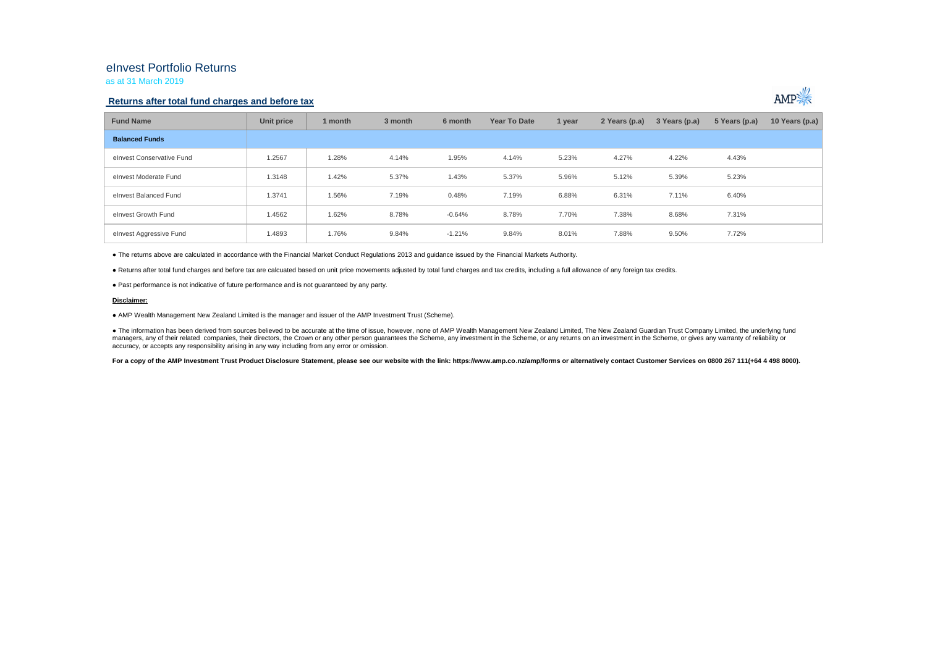## eInvest Portfolio Returns

as at 31 March 2019

### **Returns after total fund charges and before tax**



| <b>Fund Name</b>          | Unit price | 1 month | 3 month | 6 month  | Year To Date | 1 year | 2 Years (p.a) | 3 Years (p.a) | 5 Years (p.a) | 10 Years (p.a) |
|---------------------------|------------|---------|---------|----------|--------------|--------|---------------|---------------|---------------|----------------|
| <b>Balanced Funds</b>     |            |         |         |          |              |        |               |               |               |                |
| elnyest Conservative Fund | 1.2567     | .28%    | 4.14%   | 1.95%    | 4.14%        | 5.23%  | 4.27%         | 4.22%         | 4.43%         |                |
| elnvest Moderate Fund     | 1.3148     | 1.42%   | 5.37%   | 1.43%    | 5.37%        | 5.96%  | 5.12%         | 5.39%         | 5.23%         |                |
| elnvest Balanced Fund     | 1.3741     | 1.56%   | 7.19%   | 0.48%    | 7.19%        | 6.88%  | 6.31%         | 7.11%         | 6.40%         |                |
| elnvest Growth Fund       | 1.4562     | 1.62%   | 8.78%   | $-0.64%$ | 8.78%        | 7.70%  | 7.38%         | 8.68%         | 7.31%         |                |
| elnvest Aggressive Fund   | 1.4893     | 1.76%   | 9.84%   | $-1.21%$ | 9.84%        | 8.01%  | 7.88%         | 9.50%         | 7.72%         |                |

● The returns above are calculated in accordance with the Financial Market Conduct Regulations 2013 and guidance issued by the Financial Markets Authority.

● Returns after total fund charges and before tax are calcuated based on unit price movements adjusted by total fund charges and tax credits, including a full allowance of any foreign tax credits.

● Past performance is not indicative of future performance and is not guaranteed by any party.

#### **Disclaimer:**

● AMP Wealth Management New Zealand Limited is the manager and issuer of the AMP Investment Trust (Scheme).

● The information has been derived from sources believed to be accurate at the time of issue, however, none of AMP Wealth Management New Zealand Limited, The New Zealand Guardian Trust Company Limited, the underlying fund managers, any of their related companies, their directors, the Crown or any other person quarantees the Scheme, any investment in the Scheme, or any returns on an investment in the Scheme, or qives any warranty of reliabil accuracy, or accepts any responsibility arising in any way including from any error or omission.

For a copy of the AMP Investment Trust Product Disclosure Statement, please see our website with the link: https://www.amp.co.nz/amp/forms or alternatively contact Customer Services on 0800 267 111(+64 4 498 8000).